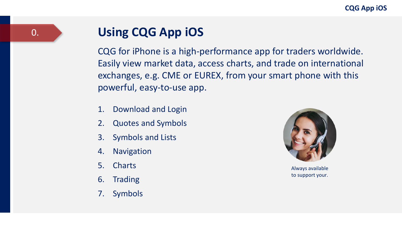### **Using CQG App iOS**

CQG for iPhone is a high-performance app for traders worldwide. Easily view market data, access charts, and trade on international exchanges, e.g. CME or EUREX, from your smart phone with this powerful, easy-to-use app.

- 1. Download and Login
- 2. Quotes and Symbols
- 3. Symbols and Lists
- 4. Navigation
- 5. Charts
- 6. Trading
- 7. Symbols



Always available to support your.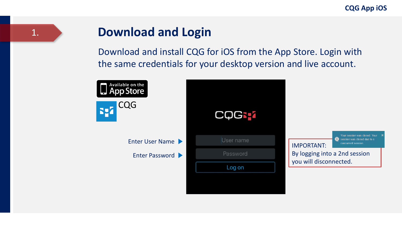#### 1.

#### **Download and Login**

Download and install CQG for iOS from the App Store. Login with the same credentials for your desktop version and live account.

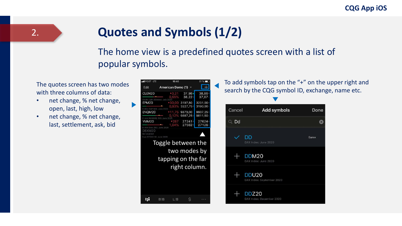## **Quotes and Symbols (1/2)**

#### The home view is a predefined quotes screen with a list of popular symbols.

The quotes screen has two modes with three columns of data:

• net change, % net change, open, last, high, low

2.

• net change, % net change, last, settlement, ask, bid

| ull POST LTE                          | 15:40                                    |               | $61\%$         |
|---------------------------------------|------------------------------------------|---------------|----------------|
| Edit                                  | <b>American Demo (1)</b>                 |               |                |
| CLEN20                                | 0,21                                     | 37,98         | 38,86H         |
| Crude Light (Globex): July 2020       | 0.55%                                    | 38,220        | 37,07          |
| EPM <sub>20</sub>                     | 730,00                                   | 3197,50       | 3231,00H       |
|                                       | 0.93%                                    | 3227,750      | 3190,00        |
| E-Mini S&P 500: June 2020<br>ENOM20   | 71.75                                    | 9873,00       | 9907,25H       |
|                                       | 0.12%                                    | 9887,250      | 9811,50        |
| E-mini NASDAQ-100: June 2020<br>YMM20 |                                          | 27241A        |                |
|                                       | ▼287<br>1.04%                            | 27562。        | 27624<br>27126 |
| E-mini Dow (\$5): June 2020           |                                          |               |                |
| DSXM20<br>Not enabled                 |                                          |               |                |
| Euro STOXX 50: June 2020              |                                          |               |                |
|                                       | Toggle between the<br>tapping on the far | two modes by  |                |
|                                       |                                          | right column. |                |
|                                       |                                          |               |                |
|                                       |                                          |               |                |

To add symbols tap on the "+" on the upper right and search by the CQG symbol ID, exchange, name etc.

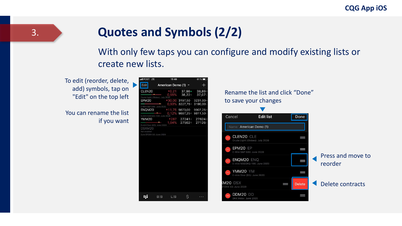#### **Quotes and Symbols (2/2)**

With only few taps you can configure and modify existing lists or create new lists.

To edit (reorder, delete, add) symbols, tap on "Edit" on the top left

You can rename the list if you want

| ull POST LTE                                    |                     |                                |                   |
|-------------------------------------------------|---------------------|--------------------------------|-------------------|
| Edit                                            | American Demo (1) - |                                |                   |
| CLEN20                                          | $*0,21$<br>0,55%    | $37,98 \triangleq$<br>38,22    | 38,86H<br>37.07 L |
| Crude Light (Globex): July 2020<br><b>EPM20</b> |                     | ▼30,00 3197,50                 | 3231,00H          |
|                                                 | 0.93%               | 3227.75                        | 3190.00           |
| E-Mini S&P 500: June 2020<br>ENQM20             |                     | v11,75 9873,00                 | 9907,25H          |
| E-mini NASDAQ-100: June 2020                    |                     | 0.12% 9887,25° 9811,50         |                   |
| YMM20                                           |                     | $7287$ 27241 A<br>1.04% 27562。 | 27624<br>27126    |
| Euro STOXX 50: June 2020                        |                     |                                |                   |
|                                                 |                     |                                |                   |
|                                                 |                     |                                |                   |
|                                                 |                     |                                |                   |

Rename the list and click "Done" to save your changes

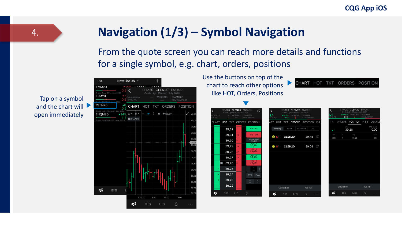### **Navigation (1/3) – Symbol Navigation**

From the quote screen you can reach more details and functions for a single symbol, e.g. chart, orders, positions

Tap on a symbol and the chart will  $\blacktriangleright$ open immediately



Use the buttons on top of the chart to reach other options like HOT, Orders, Positions

CHART HOT TKT ORDERS POSITION

|                | EPM20 CLEN20                    |                | ENQM2 |                 |                                |             | EPM20      | CLEN20 ENOM20                                     |                            |                   |             | EPM20      | CLEN20                                            | ENOM:      |                   |
|----------------|---------------------------------|----------------|-------|-----------------|--------------------------------|-------------|------------|---------------------------------------------------|----------------------------|-------------------|-------------|------------|---------------------------------------------------|------------|-------------------|
|                | Crude Light (Globex): July 2020 | <b>WORKING</b> |       | TSAMP891        | $\mathfrak{S}$                 |             | @39.28     | Crude Light (Globex): July 2020<br><b>WORKING</b> | TSAMP891                   |                   |             | @39.28     | Crude Light (Globex): July 2020<br><b>WORKING</b> | TSAMP891   |                   |
|                |                                 |                |       | DEMOAMP891      |                                | OTE+P/L     | 20,00      | $\overline{2}$                                    | DEMOAMP891                 |                   | $OTE + P/L$ | 0,00       | $\overline{2}$                                    | DEMOAMP891 |                   |
|                | HOT TKT                         | ORDERS         |       | <b>POSITION</b> |                                | HOT<br>ART  | <b>TKT</b> |                                                   | <b>ORDERS</b> POSITION P & |                   | <b>TKT</b>  | ORDERS     | POSITION P&S DETAIL                               |            |                   |
|                | 39,32                           |                |       |                 | <b>BUY 1 MKT</b>               | Working     |            | Filled                                            | Cancelled<br>All           |                   | L1          | <b>AVG</b> | 39,28                                             |            | OTE (USD)<br>0,00 |
|                | 39,31                           | 13             |       |                 | <b>SELL 1 MKT</b>              | <b>@</b> S1 |            | CLEN20                                            | 39,48                      | <b>LMT</b><br>DAY | Date        |            | Avg                                               |            | OTE               |
|                | 39,30                           |                |       | B/A: 0,01       | Volume: 338K                   |             |            |                                                   |                            |                   | 10.06       | ٠          | 39,28                                             |            | 0,00              |
|                | 39,29                           | 10             |       |                 | BUY 1 @<br>39,26A              | <b>O</b> S1 |            | CLEN20                                            | 39,08                      | STP<br>DAY        |             |            |                                                   |            |                   |
|                | 39,28                           | 27             |       |                 | SELL 1 ®<br>39,26A             |             |            |                                                   |                            |                   |             |            |                                                   |            |                   |
|                | 39,27                           | 15             |       |                 | BUY 1 ®<br>39,25 <sub>B</sub>  |             |            |                                                   |                            |                   |             |            |                                                   |            |                   |
| $\blacksquare$ | 39,26                           |                |       | SELL 1 @        | 39.25 <sub>B</sub>             |             |            |                                                   |                            |                   |             |            |                                                   |            |                   |
|                | 39,25                           |                |       |                 | $\frac{1}{\sin \theta}$<br>$+$ |             |            |                                                   |                            |                   |             |            |                                                   |            |                   |
|                | 39,24                           |                |       | <b>STP</b>      | <b>DAY</b>                     |             |            |                                                   |                            |                   |             |            |                                                   |            |                   |
|                | 39,23                           |                |       | ٠               |                                |             |            |                                                   |                            |                   |             |            |                                                   |            |                   |
|                | 39,22                           |                |       |                 |                                |             | Cancel all |                                                   | Go flat                    |                   |             | Liquidate  |                                                   | Go flat    |                   |
|                | B: S                            | L: S           | \$    |                 | $\sim$ $\sim$                  | Бđ          | B: S       | L:S                                               | \$                         | $\cdots$          | ЬĆ          | B:         | L:S                                               | Ś          | $\cdots$          |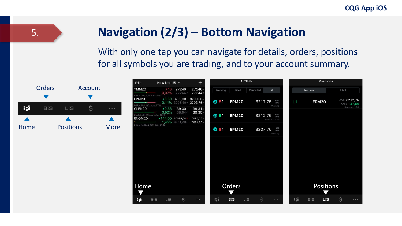#### **Navigation (2/3) – Bottom Navigation**

With only one tap you can navigate for details, orders, positions for all symbols you are trading, and to your account summary.



5.

| Edit                                                              | New List US -    |                                | $^{+}$                                                                      |             |              | Orders    |                                          |     |           | <b>Positions</b> |                |                                                   |
|-------------------------------------------------------------------|------------------|--------------------------------|-----------------------------------------------------------------------------|-------------|--------------|-----------|------------------------------------------|-----|-----------|------------------|----------------|---------------------------------------------------|
| YMM20                                                             |                  | ▼18 27246<br>$0.07\%$ 27264-   | 27246<br>27244                                                              | Working     | Filled       | Cancelled | All                                      |     | Positions |                  | <b>P&amp;S</b> |                                                   |
| E-mini Dow (\$5): June 2020<br>EPM20<br>E-Mini S&P 500: June 2020 |                  | ▲3,50 3209,00<br>0,11% 3205,50 | 3209,00A<br>3208,75                                                         | <b>O</b> S1 | <b>EPM20</b> |           | LMT<br>DAY<br>3217,75<br>Working         | L1  |           | <b>EPM20</b>     |                | AVG 3212,75<br><b>OTE 137,50</b><br>Currency: USD |
| CLEN20<br>Crude Light (Globex): July 2020<br>ENQM20               | $*0,36$<br>0.92% | 39,30<br>$38,94-$              | 39,31A<br>39,30<br>▲144,00 10095,00 * 10095,25<br>1.45% 9951.00 ~ 10094,758 | ① B1        | <b>EPM20</b> |           | LMT<br>DAY<br>3212,75<br>Filled 20:04:19 |     |           |                  |                |                                                   |
| -mini NASDAQ-100: June 2020                                       |                  |                                |                                                                             | <b>O</b> S1 | <b>EPM20</b> |           | STP<br>DAY<br>3207,75<br>Working         |     |           |                  |                |                                                   |
|                                                                   |                  |                                |                                                                             |             |              |           |                                          |     |           |                  |                |                                                   |
|                                                                   |                  |                                |                                                                             |             |              |           |                                          |     |           |                  |                |                                                   |
|                                                                   |                  |                                |                                                                             |             |              |           |                                          |     |           |                  |                |                                                   |
| Home                                                              |                  |                                |                                                                             |             | Orders       |           |                                          |     |           | Positions        |                |                                                   |
| B-Z                                                               | $B:$ S<br>L:S    | \$                             | $\sim 100$                                                                  | 357         | $B:$ S       | Ś.<br>L:S | $\sim 100$                               | 357 | $B:$ S    | L:S              | \$             | $\sim$ $\sim$ $\sim$                              |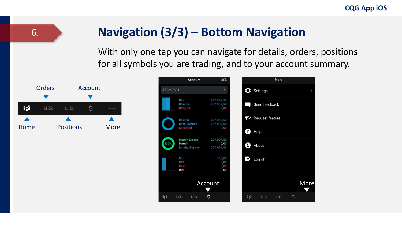#### **Navigation (3/3) – Bottom Navigation**

With only one tap you can navigate for details, orders, positions for all symbols you are trading, and to your account summary.



6.

|          | <b>Account</b>                                          | <b>USD</b>                       |              |                 | More |               |
|----------|---------------------------------------------------------|----------------------------------|--------------|-----------------|------|---------------|
| TSAMP891 |                                                         |                                  |              | Settings        |      | $\rightarrow$ |
|          | <b>NLV</b><br><b>Balance</b><br>OTE/UPL                 | 297.997,50<br>297 997 50<br>0,00 | $\cdots$     | Send feedback   |      |               |
|          | <b>Balance</b><br><b>Cash Balance</b>                   | 297.997.50<br>297.997.50         | $\mathbf{F}$ | Request feature |      |               |
|          | Collateral                                              | 0.00                             | Q            | Help            |      |               |
| 100%     | <b>Margin Excess</b><br>Margin<br><b>Purchasing pwr</b> | 297.997,50<br>0,00<br>297.997.50 | A            | About           |      |               |
|          | P/L<br>OTE                                              | 250,00<br>0.00                   | D            | Log off         |      |               |
|          | <b>MVO</b><br><b>UPL</b>                                | 0.00<br>0,00                     |              |                 |      |               |
|          |                                                         | Account                          |              |                 |      | More          |
| 3gh      | B: S<br>L:S                                             | \$                               | 554          | $B:$ S          | L:S  | \$            |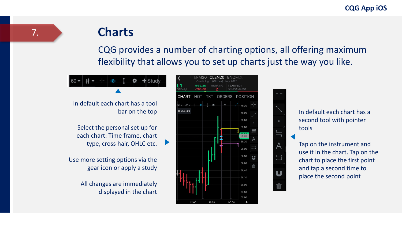# **Charts**

CQG provides a number of charting options, all offering maximum flexibility that allows you to set up charts just the way you like.



In default each chart has a tool bar on the top

Select the personal set up for each chart: Time frame, chart type, cross hair, OHLC etc.

Use more setting options via the gear icon or apply a study

> All changes are immediately displayed in the chart





In default each chart has a second tool with pointer tools

Tap on the instrument and use it in the chart. Tap on the chart to place the first point and tap a second time to place the second point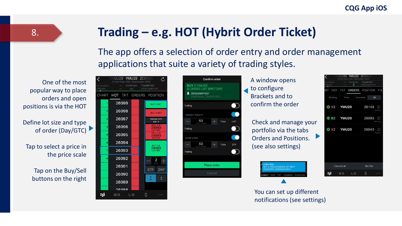#### **Trading – e.g. HOT (Hybrit Order Ticket)**

The app offers a selection of order entry and order management applications that suite a variety of trading styles.

One of the most popular way to place orders and open positions is via the HOT

Define lot size and type of order (Day/GTC)

Tap to select a price in the price scale

> Tap on the Buy/Sell buttons on the right

| ؛                      | enq <b>u20 Ymu20 zcen</b> 20<br>E-mini Dow (\$5): September 2020 |  |                   | උ                                          |
|------------------------|------------------------------------------------------------------|--|-------------------|--------------------------------------------|
| o position<br>$TE+P/L$ | $-$ WORKING TSAMP1057                                            |  | DEMOAMP1057       |                                            |
|                        | CHART HOT TKT ORDERS POSITION                                    |  |                   |                                            |
| 1                      | 26099                                                            |  |                   | <b>BUY 2 MKT</b>                           |
| $\overline{2}$         | 26098                                                            |  |                   | <b>SELL 2 MKT</b>                          |
| $\overline{2}$         | 26097                                                            |  |                   | Volume: 57K<br>B/A: 4                      |
| 3                      | 26096                                                            |  |                   | <b>SELL 2 ®</b><br>26093<br><b>LMT DAY</b> |
| 8                      | 26095                                                            |  | SELL <sub>2</sub> | 26093<br><b>STP DAY</b>                    |
| 8                      | 26094                                                            |  |                   | BUY 2 ®                                    |
| $\overline{7}$         | 26093                                                            |  |                   | 26093<br><b>LMT DAY</b>                    |
| 6                      | 26092                                                            |  |                   | 2<br>size                                  |
|                        | 26091                                                            |  | <b>STP</b>        | <b>DAY</b>                                 |
|                        | 26090                                                            |  |                   |                                            |
|                        | 26089                                                            |  |                   |                                            |
|                        | 26099                                                            |  |                   |                                            |
| RИ                     | $R:S$ $ S $                                                      |  |                   |                                            |



A window opens to configure Brackets and to confirm the order

Check and manage your portfolio via the tabs Orders and Positions. (see also settings)



|                         | E-mini Dow (\$5): September 2020 | YMU20               | ZCEN <sub>20</sub>              |                             |
|-------------------------|----------------------------------|---------------------|---------------------------------|-----------------------------|
| lo position<br>OTE+P/L  |                                  | <b>WORKING</b><br>2 | <b>TSAMP1057</b><br>DEMOAMP1057 |                             |
| HOT<br>RT               | <b>TKT</b>                       | <b>ORDERS</b>       | <b>POSITION</b>                 | P &                         |
|                         |                                  |                     |                                 |                             |
| Working                 | Filled                           | Cancelled           | All                             |                             |
|                         |                                  |                     |                                 |                             |
| <b>B</b> \$2            | YMU <sub>20</sub>                |                     | 26143                           | <b>LMT</b><br>DAY<br>Parked |
|                         |                                  |                     |                                 |                             |
| $\oplus$ B <sub>2</sub> | YMU20                            |                     | 26093                           | LMT<br>DAY                  |
|                         |                                  |                     |                                 | Working                     |
| $O$ S <sub>2</sub>      | YMU20                            |                     | 26043                           | <b>STP</b><br>DAY           |
|                         |                                  |                     |                                 | Parked                      |
|                         |                                  |                     |                                 |                             |
|                         |                                  |                     |                                 |                             |
|                         |                                  |                     |                                 |                             |
|                         |                                  |                     |                                 |                             |
|                         |                                  |                     |                                 |                             |
|                         | Cancel all                       |                     | Go flat                         |                             |
|                         |                                  |                     |                                 |                             |
| 52                      | $B:$ S                           | L:S                 | Ś                               |                             |

You can set up different notifications (see settings)